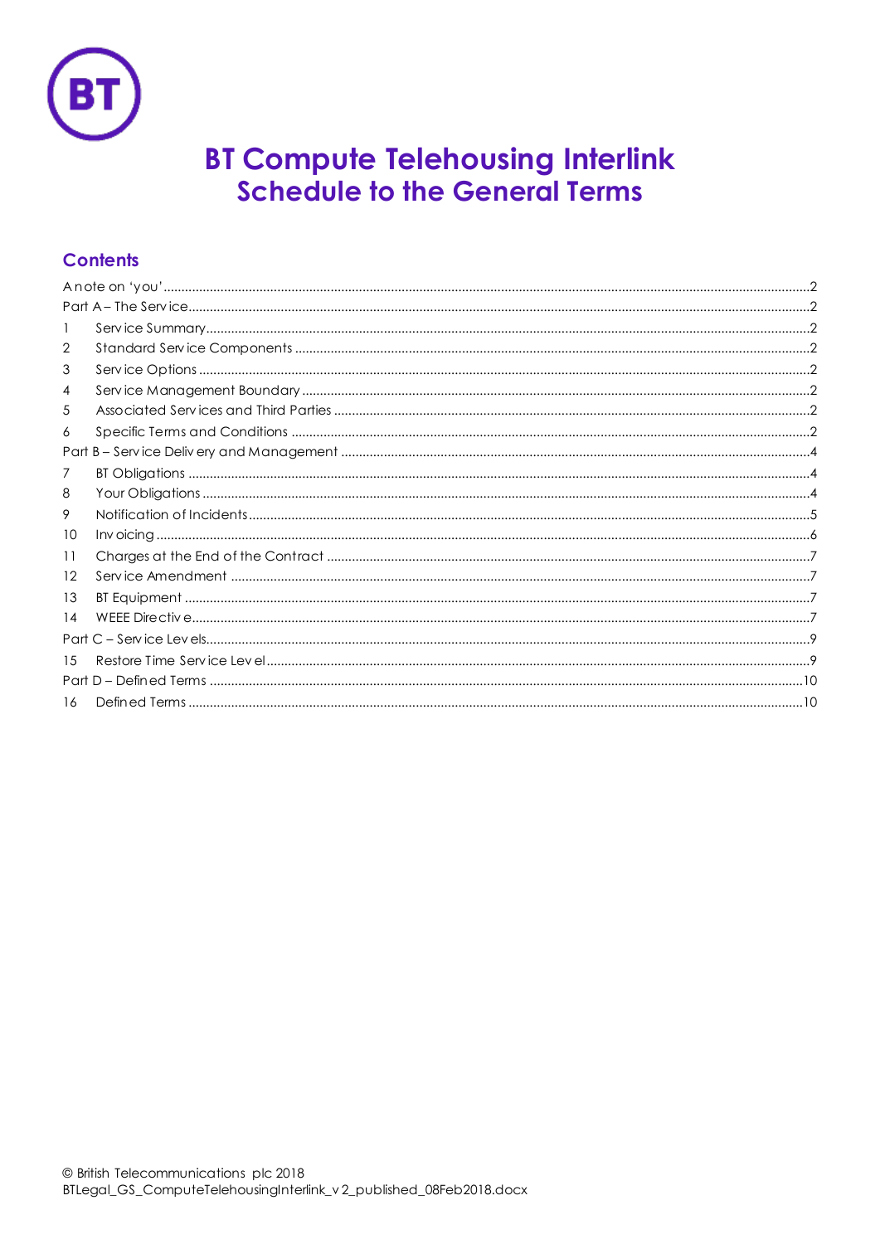

# **BT Compute Telehousing Interlink Schedule to the General Terms**

# **Contents**

| -1 |  |  |
|----|--|--|
| 2  |  |  |
| 3  |  |  |
| 4  |  |  |
| 5  |  |  |
| 6  |  |  |
|    |  |  |
| 7  |  |  |
| 8  |  |  |
| 9  |  |  |
| 10 |  |  |
| 11 |  |  |
| 12 |  |  |
| 13 |  |  |
| 14 |  |  |
|    |  |  |
| 15 |  |  |
|    |  |  |
| 16 |  |  |
|    |  |  |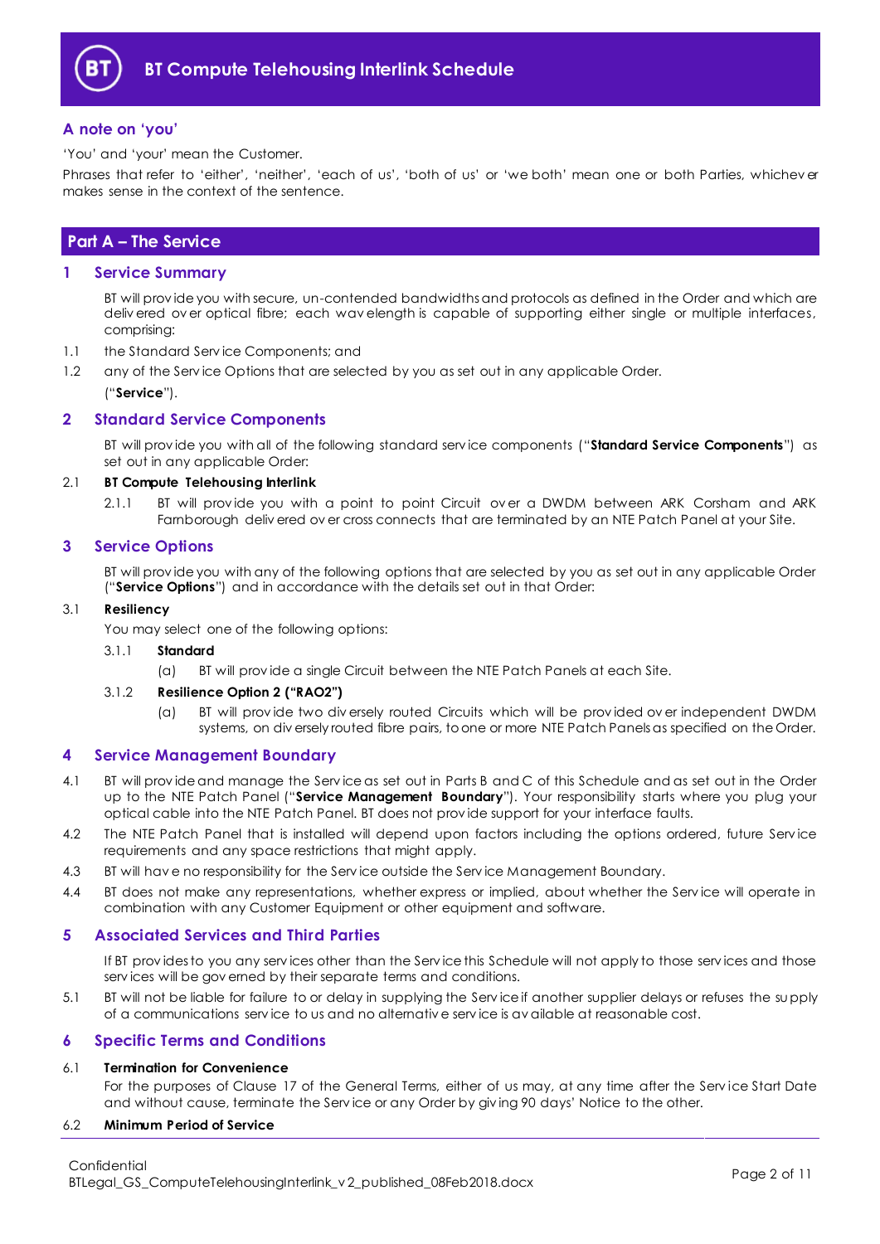

# <span id="page-1-0"></span>**A note on 'you'**

'You' and 'your' mean the Customer.

Phrases that refer to 'either', 'neither', 'each of us', 'both of us' or 'we both' mean one or both Parties, whichev er makes sense in the context of the sentence.

# <span id="page-1-1"></span>**Part A – The Service**

#### <span id="page-1-2"></span>**1 Service Summary**

BT will prov ide you with secure, un-contended bandwidths and protocols as defined in the Order and which are deliv ered ov er optical fibre; each wav elength is capable of supporting either single or multiple interfaces, comprising:

- 1.1 the Standard Serv ice Components; and
- 1.2 any of the Service Options that are selected by you as set out in any applicable Order. ("**Service**").

## <span id="page-1-3"></span>**2 Standard Service Components**

BT will prov ide you with all of the following standard serv ice components ("**Standard Service Components**") as set out in any applicable Order:

#### 2.1 **BT Compute Telehousing Interlink**

2.1.1 BT will provide you with a point to point Circuit over a DWDM between ARK Corsham and ARK Farnborough deliv ered ov er cross connects that are terminated by an NTE Patch Panel at your Site.

#### <span id="page-1-4"></span>**3 Service Options**

BT will prov ide you with any of the following options that are selected by you as set out in any applicable Order ("**Service Options**") and in accordance with the details set out in that Order:

#### 3.1 **Resiliency**

You may select one of the following options:

#### 3.1.1 **Standard**

(a) BT will prov ide a single Circuit between the NTE Patch Panels at each Site.

#### 3.1.2 **Resilience Option 2 ("RAO2")**

(a) BT will prov ide two div ersely routed Circuits which will be prov ided ov er independent DWDM systems, on div ersely routed fibre pairs, to one or more NTE Patch Panels as specified on the Order.

#### <span id="page-1-5"></span>**4 Service Management Boundary**

- <span id="page-1-8"></span>4.1 BT will prov ide and manage the Serv ice as set out in Parts B and C of this Schedule and as set out in the Order up to the NTE Patch Panel ("**Service Management Boundary**"). Your responsibility starts where you plug your optical cable into the NTE Patch Panel. BT does not prov ide support for your interface faults.
- 4.2 The NTE Patch Panel that is installed will depend upon factors including the options ordered, future Service requirements and any space restrictions that might apply.
- 4.3 BT will hav e no responsibility for the Serv ice outside the Serv ice Management Boundary.
- 4.4 BT does not make any representations, whether express or implied, about whether the Serv ice will operate in combination with any Customer Equipment or other equipment and software.

#### <span id="page-1-6"></span>**5 Associated Services and Third Parties**

If BT prov ides to you any serv ices other than the Serv ice this Schedule will not apply to those serv ices and those serv ices will be gov erned by their separate terms and conditions.

5.1 BT will not be liable for failure to or delay in supplying the Serv ice if another supplier delays or refuses the supply of a communications serv ice to us and no alternativ e serv ice is av ailable at reasonable cost.

#### <span id="page-1-7"></span>**6 Specific Terms and Conditions**

# 6.1 **Termination for Convenience**

For the purposes of Clause 17 of the General Terms, either of us may, at any time after the Serv ice Start Date and without cause, terminate the Serv ice or any Order by giv ing 90 days' Notice to the other.

#### 6.2 **Minimum Period of Service**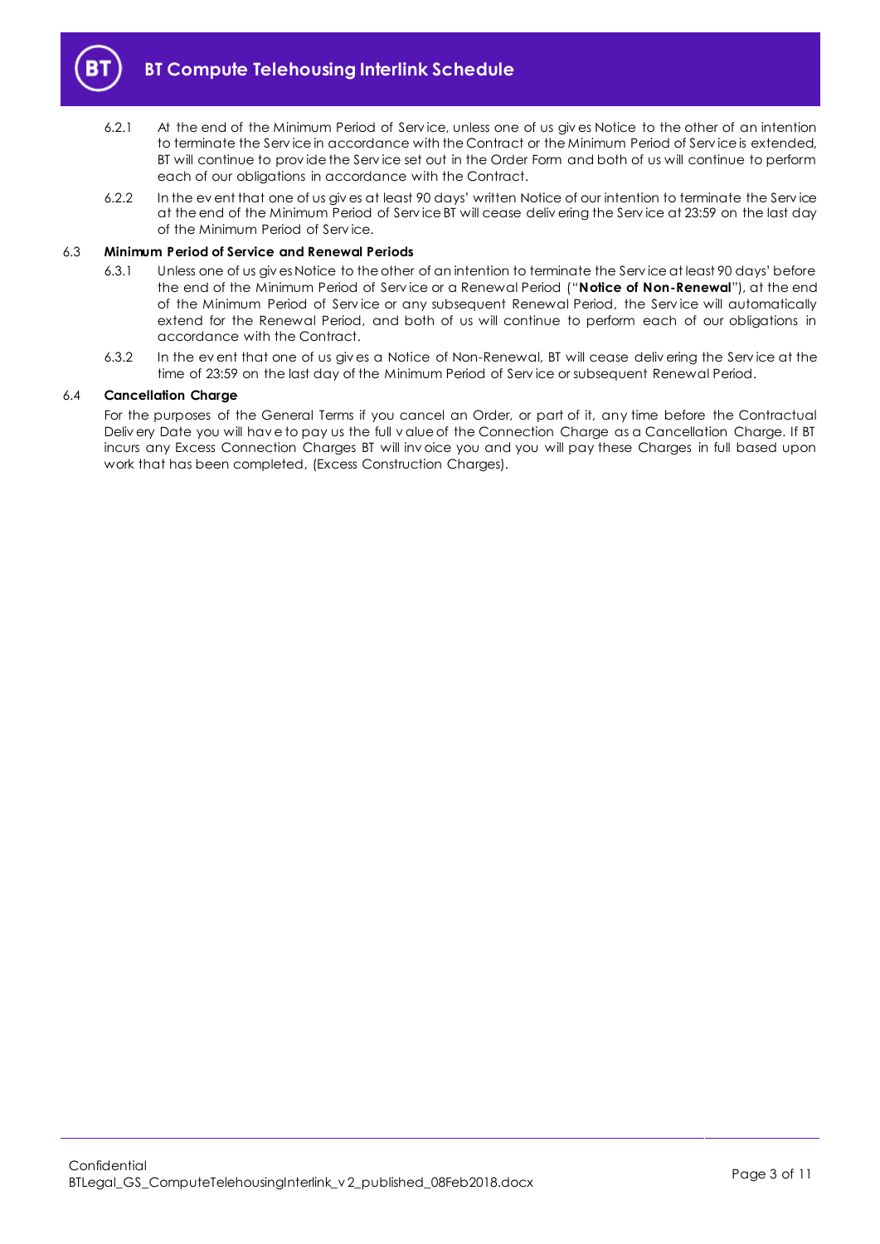

- 6.2.1 At the end of the Minimum Period of Serv ice, unless one of us giv es Notice to the other of an intention to terminate the Serv ice in accordance with the Contract or the Minimum Period of Serv ice is extended, BT will continue to prov ide the Serv ice set out in the Order Form and both of us will continue to perform each of our obligations in accordance with the Contract.
- 6.2.2 In the ev ent that one of us giv es at least 90 days' written Notice of our intention to terminate the Serv ice at the end of the Minimum Period of Serv ice BT will cease deliv ering the Serv ice at 23:59 on the last day of the Minimum Period of Serv ice.

#### <span id="page-2-0"></span>6.3 **Minimum Period of Service and Renewal Periods**

- 6.3.1 Unless one of us giv es Notice to the other of an intention to terminate the Serv ice at least 90 days' before the end of the Minimum Period of Serv ice or a Renewal Period ("**Notice of Non-Renewal**"), at the end of the Minimum Period of Serv ice or any subsequent Renewal Period, the Serv ice will automatically extend for the Renewal Period, and both of us will continue to perform each of our obligations in accordance with the Contract.
- 6.3.2 In the ev ent that one of us giv es a Notice of Non-Renewal, BT will cease deliv ering the Serv ice at the time of 23:59 on the last day of the Minimum Period of Serv ice or subsequent Renewal Period.

#### 6.4 **Cancellation Charge**

For the purposes of the General Terms if you cancel an Order, or part of it, any time before the Contractual Deliv ery Date you will hav e to pay us the full v alue of the Connection Charge as a Cancellation Charge. If BT incurs any Excess Connection Charges BT will inv oice you and you will pay these Charges in full based upon work that has been completed, (Excess Construction Charges).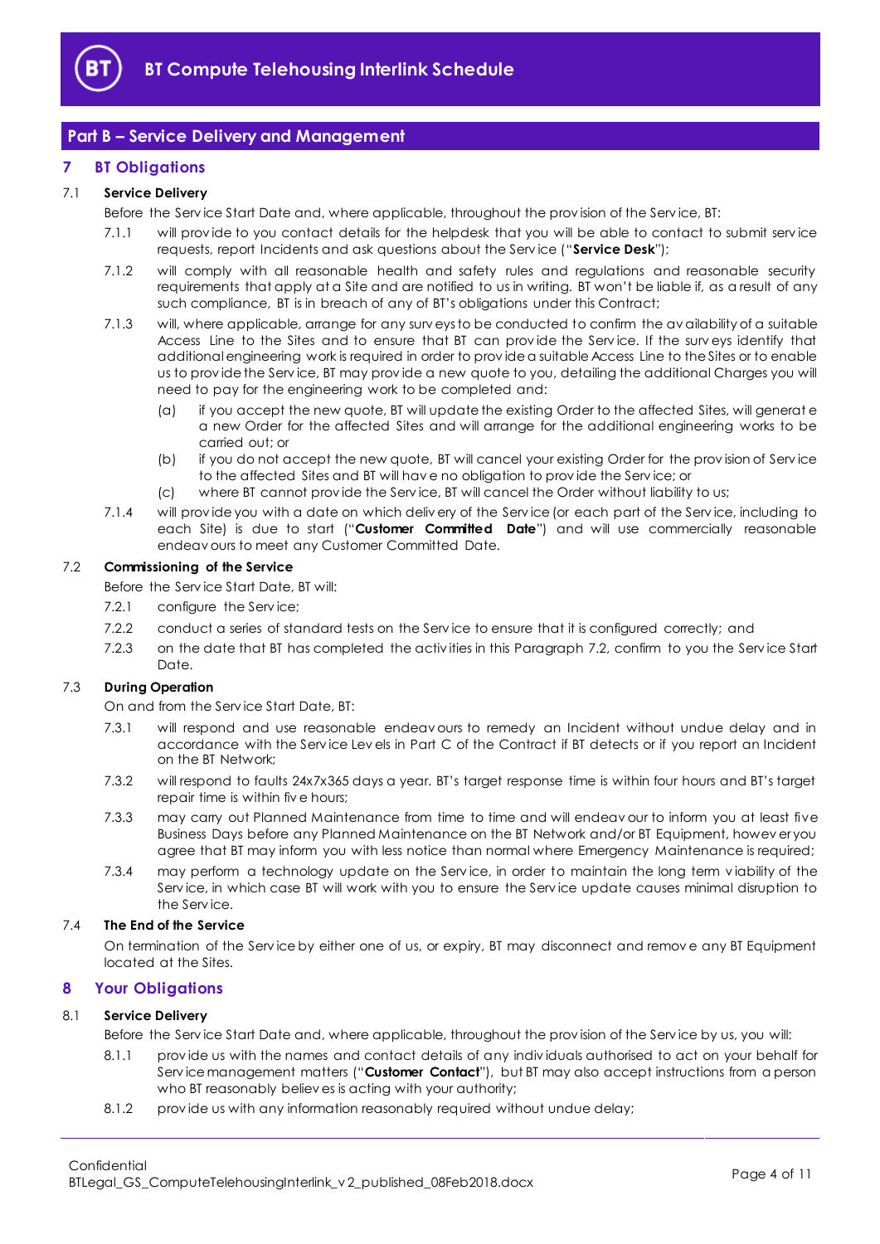

# <span id="page-3-0"></span>**Part B – Service Delivery and Management**

# <span id="page-3-1"></span>**7 BT Obligations**

## <span id="page-3-6"></span>7.1 **Service Delivery**

Before the Serv ice Start Date and, where applicable, throughout the prov ision of the Serv ice, BT:

- 7.1.1 will prov ide to you contact details for the helpdesk that you will be able to contact to submit serv ice requests, report Incidents and ask questions about the Serv ice ("**Service Desk**");
- 7.1.2 will comply with all reasonable health and safety rules and regulations and reasonable security requirements that apply at a Site and are notified to us in writing. BT won't be liable if, as a result of any such compliance, BT is in breach of any of BT's obligations under this Contract;
- 7.1.3 will, where applicable, arrange for any surv eys to be conducted to confirm the av ailability of a suitable Access Line to the Sites and to ensure that BT can prov ide the Serv ice. If the surv eys identify that additional engineering work is required in order to prov ide a suitable Access Line to the Sites or to enable us to prov ide the Serv ice, BT may prov ide a new quote to you, detailing the additional Charges you will need to pay for the engineering work to be completed and:
	- (a) if you accept the new quote, BT will update the existing Order to the affected Sites, will generat e a new Order for the affected Sites and will arrange for the additional engineering works to be carried out; or
	- (b) if you do not accept the new quote, BT will cancel your existing Order for the prov ision of Serv ice to the affected Sites and BT will hav e no obligation to prov ide the Serv ice; or
	- (c) where BT cannot prov ide the Serv ice, BT will cancel the Order without liability to us;
- <span id="page-3-4"></span>7.1.4 will prov ide you with a date on which deliv ery of the Serv ice (or each part of the Serv ice, including to each Site) is due to start ("**Customer Committed Date**") and will use commercially reasonable endeav ours to meet any Customer Committed Date.

#### <span id="page-3-3"></span>7.2 **Commissioning of the Service**

Before the Serv ice Start Date, BT will:

- 7.2.1 configure the Service;
- 7.2.2 conduct a series of standard tests on the Serv ice to ensure that it is configured correctly; and
- 7.2.3 on the date that BT has completed the activ ities in this Paragraph [7.2,](#page-3-3) confirm to you the Serv ice Start Date.

# 7.3 **During Operation**

On and from the Serv ice Start Date, BT:

- 7.3.1 will respond and use reasonable endeav ours to remedy an Incident without undue delay and in accordance with the Serv ice Lev els in Part C of the Contract if BT detects or if you report an Incident on the BT Network;
- 7.3.2 will respond to faults 24x7x365 days a year. BT's target response time is within four hours and BT's target repair time is within fiv e hours;
- 7.3.3 may carry out Planned Maintenance from time to time and will endeav our to inform you at least five Business Days before any Planned Maintenance on the BT Network and/or BT Equipment, howev er you agree that BT may inform you with less notice than normal where Emergency Maintenance is required;
- 7.3.4 may perform a technology update on the Serv ice, in order to maintain the long term v iability of the Serv ice, in which case BT will work with you to ensure the Serv ice update causes minimal disruption to the Serv ice.

#### 7.4 **The End of the Service**

On termination of the Serv ice by either one of us, or expiry, BT may disconnect and remov e any BT Equipment located at the Sites.

# <span id="page-3-2"></span>**8 Your Obligations**

#### <span id="page-3-5"></span>8.1 **Service Delivery**

Before the Serv ice Start Date and, where applicable, throughout the prov ision of the Serv ice by us, you will:

- 8.1.1 prov ide us with the names and contact details of any indiv iduals authorised to act on your behalf for Serv ice management matters ("**Customer Contact**"), but BT may also accept instructions from a person who BT reasonably believ es is acting with your authority;
- 8.1.2 prov ide us with any information reasonably required without undue delay;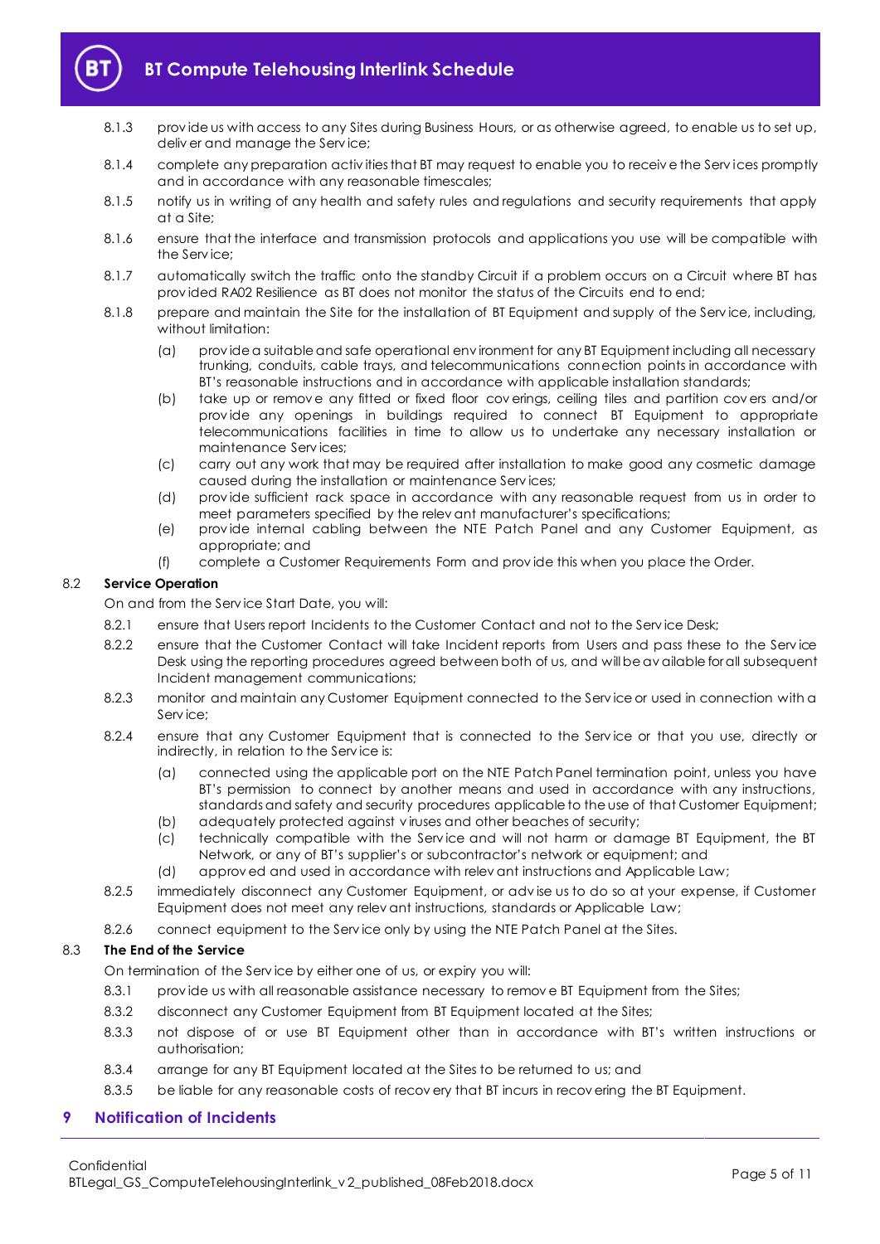

# **BT Compute Telehousing Interlink Schedule**

- 8.1.3 prov ide us with access to any Sites during Business Hours, or as otherwise agreed, to enable us to set up, deliv er and manage the Serv ice;
- 8.1.4 complete any preparation activ ities that BT may request to enable you to receiv e the Serv ices promptly and in accordance with any reasonable timescales;
- 8.1.5 notify us in writing of any health and safety rules and regulations and security requirements that apply at a Site;
- 8.1.6 ensure that the interface and transmission protocols and applications you use will be compatible with the Serv ice;
- 8.1.7 automatically switch the traffic onto the standby Circuit if a problem occurs on a Circuit where BT has prov ided RA02 Resilience as BT does not monitor the status of the Circuits end to end;
- 8.1.8 prepare and maintain the Site for the installation of BT Equipment and supply of the Serv ice, including, without limitation:
	- (a) prov ide a suitable and safe operational env ironment for any BT Equipment including all necessary trunking, conduits, cable trays, and telecommunications connection points in accordance with BT's reasonable instructions and in accordance with applicable installation standards;
	- (b) take up or remov e any fitted or fixed floor cov erings, ceiling tiles and partition cov ers and/or prov ide any openings in buildings required to connect BT Equipment to appropriate telecommunications facilities in time to allow us to undertake any necessary installation or maintenance Serv ices;
	- (c) carry out any work that may be required after installation to make good any cosmetic damage caused during the installation or maintenance Serv ices;
	- (d) prov ide sufficient rack space in accordance with any reasonable request from us in order to meet parameters specified by the relev ant manufacturer's specifications;
	- (e) prov ide internal cabling between the NTE Patch Panel and any Customer Equipment, as appropriate; and
	- (f) complete a Customer Requirements Form and prov ide this when you place the Order.

## 8.2 **Service Operation**

On and from the Serv ice Start Date, you will:

- 8.2.1 ensure that Users report Incidents to the Customer Contact and not to the Service Desk;
- 8.2.2 ensure that the Customer Contact will take Incident reports from Users and pass these to the Service Desk using the reporting procedures agreed between both of us, and will be av ailable for all subsequent Incident management communications;
- 8.2.3 monitor and maintain any Customer Equipment connected to the Serv ice or used in connection with a Serv ice;
- 8.2.4 ensure that any Customer Equipment that is connected to the Serv ice or that you use, directly or indirectly, in relation to the Serv ice is:
	- (a) connected using the applicable port on the NTE Patch Panel termination point, unless you have BT's permission to connect by another means and used in accordance with any instructions, standards and safety and security procedures applicable to the use of that Customer Equipment;
	- (b) adequately protected against v iruses and other beaches of security;
	- (c) technically compatible with the Serv ice and will not harm or damage BT Equipment, the BT Network, or any of BT's supplier's or subcontractor's network or equipment; and
	- (d) approv ed and used in accordance with relev ant instructions and Applicable Law;
- 8.2.5 immediately disconnect any Customer Equipment, or adv ise us to do so at your expense, if Customer Equipment does not meet any relev ant instructions, standards or Applicable Law;
- 8.2.6 connect equipment to the Serv ice only by using the NTE Patch Panel at the Sites.

# 8.3 **The End of the Service**

On termination of the Serv ice by either one of us, or expiry you will:

- 8.3.1 prov ide us with all reasonable assistance necessary to remov e BT Equipment from the Sites;
- 8.3.2 disconnect any Customer Equipment from BT Equipment located at the Sites;
- 8.3.3 not dispose of or use BT Equipment other than in accordance with BT's written instructions or authorisation;
- 8.3.4 arrange for any BT Equipment located at the Sites to be returned to us; and
- 8.3.5 be liable for any reasonable costs of recovery that BT incurs in recovering the BT Equipment.

# <span id="page-4-0"></span>**9 Notification of Incidents**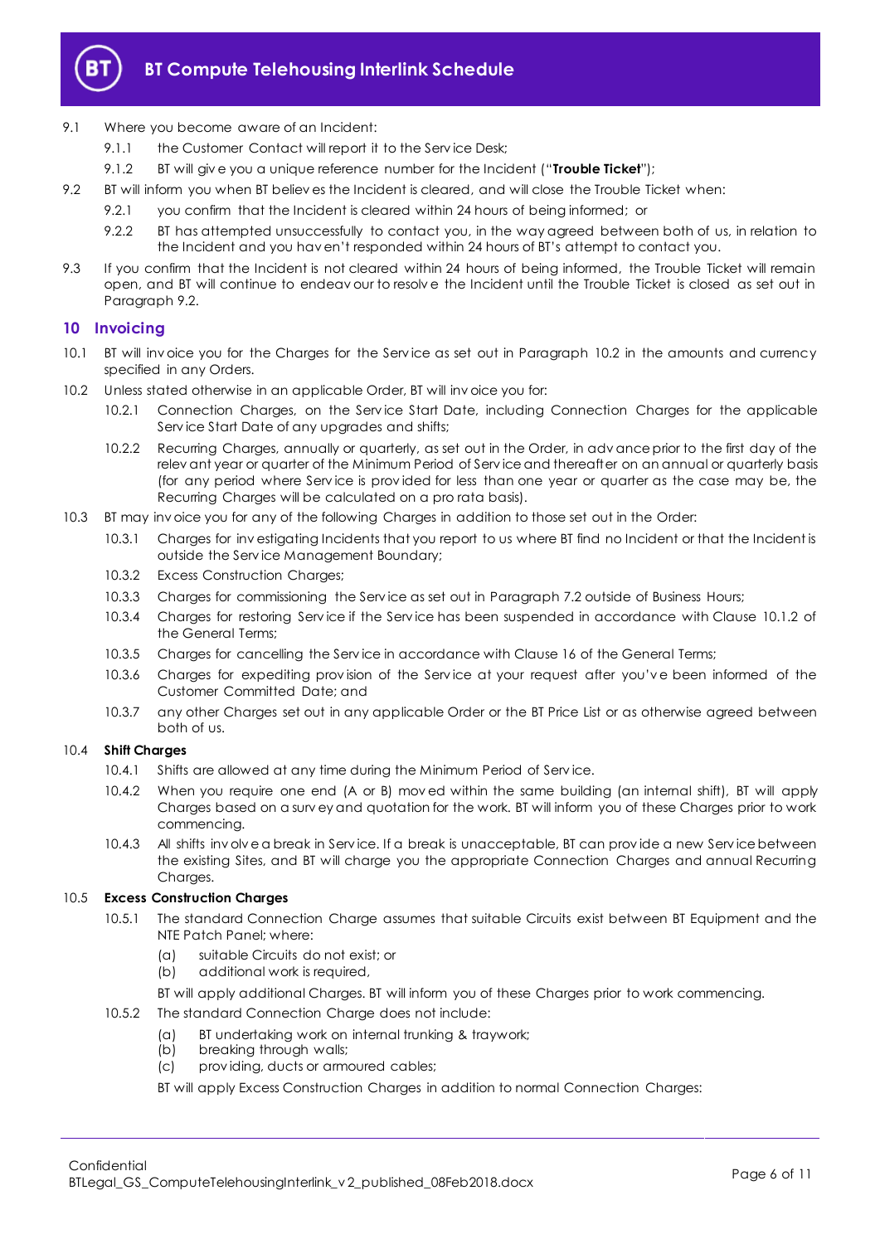

- 9.1 Where you become aware of an Incident:
	- 9.1.1 the Customer Contact will report it to the Service Desk;
	- 9.1.2 BT will giv e you a unique reference number for the Incident ("**Trouble Ticket**");
- <span id="page-5-3"></span><span id="page-5-1"></span>9.2 BT will inform you when BT believ es the Incident is cleared, and will close the Trouble Ticket when:
	- 9.2.1 you confirm that the Incident is cleared within 24 hours of being informed; or
	- 9.2.2 BT has attempted unsuccessfully to contact you, in the way agreed between both of us, in relation to the Incident and you hav en't responded within 24 hours of BT's attempt to contact you.
- 9.3 If you confirm that the Incident is not cleared within 24 hours of being informed, the Trouble Ticket will remain open, and BT will continue to endeav our to resolv e the Incident until the Trouble Ticket is closed as set out in Paragraph [9.2.](#page-5-1)

# <span id="page-5-0"></span>**10 Invoicing**

- 10.1 BT will inv oice you for the Charges for the Serv ice as set out in Paragraph [10.2](#page-5-2) in the amounts and currency specified in any Orders.
- <span id="page-5-2"></span>10.2 Unless stated otherwise in an applicable Order, BT will inv oice you for:
	- 10.2.1 Connection Charges, on the Service Start Date, including Connection Charges for the applicable Serv ice Start Date of any upgrades and shifts;
	- 10.2.2 Recurring Charges, annually or quarterly, as set out in the Order, in adv ance prior to the first day of the relev ant year or quarter of the Minimum Period of Serv ice and thereafter on an annual or quarterly basis (for any period where Serv ice is prov ided for less than one year or quarter as the case may be, the Recurring Charges will be calculated on a pro rata basis).
- 10.3 BT may inv oice you for any of the following Charges in addition to those set out in the Order:
	- 10.3.1 Charges for inv estigating Incidents that you report to us where BT find no Incident or that the Incident is outside the Serv ice Management Boundary;
	- 10.3.2 Excess Construction Charges;
	- 10.3.3 Charges for commissioning the Serv ice as set out in Paragrap[h 7.2](#page-3-3) outside of Business Hours;
	- 10.3.4 Charges for restoring Serv ice if the Serv ice has been suspended in accordance with Clause 10.1.2 of the General Terms;
	- 10.3.5 Charges for cancelling the Serv ice in accordance with Clause 16 of the General Terms;
	- 10.3.6 Charges for expediting prov ision of the Serv ice at your request after you'v e been informed of the Customer Committed Date; and
	- 10.3.7 any other Charges set out in any applicable Order or the BT Price List or as otherwise agreed between both of us.

# 10.4 **Shift Charges**

- 10.4.1 Shifts are allowed at any time during the Minimum Period of Serv ice.
- 10.4.2 When you require one end (A or B) mov ed within the same building (an internal shift), BT will apply Charges based on a surv ey and quotation for the work. BT will inform you of these Charges prior to work commencing.
- 10.4.3 All shifts inv olv e a break in Serv ice. If a break is unacceptable, BT can prov ide a new Serv ice between the existing Sites, and BT will charge you the appropriate Connection Charges and annual Recurring Charges.

# 10.5 **Excess Construction Charges**

- 10.5.1 The standard Connection Charge assumes that suitable Circuits exist between BT Equipment and the NTE Patch Panel; where:
	- (a) suitable Circuits do not exist; or
	- (b) additional work is required,
	- BT will apply additional Charges. BT will inform you of these Charges prior to work commencing.
- 10.5.2 The standard Connection Charge does not include:
	- (a) BT undertaking work on internal trunking & traywork;
	- (b) breaking through walls;
	- (c) prov iding, ducts or armoured cables;

BT will apply Excess Construction Charges in addition to normal Connection Charges: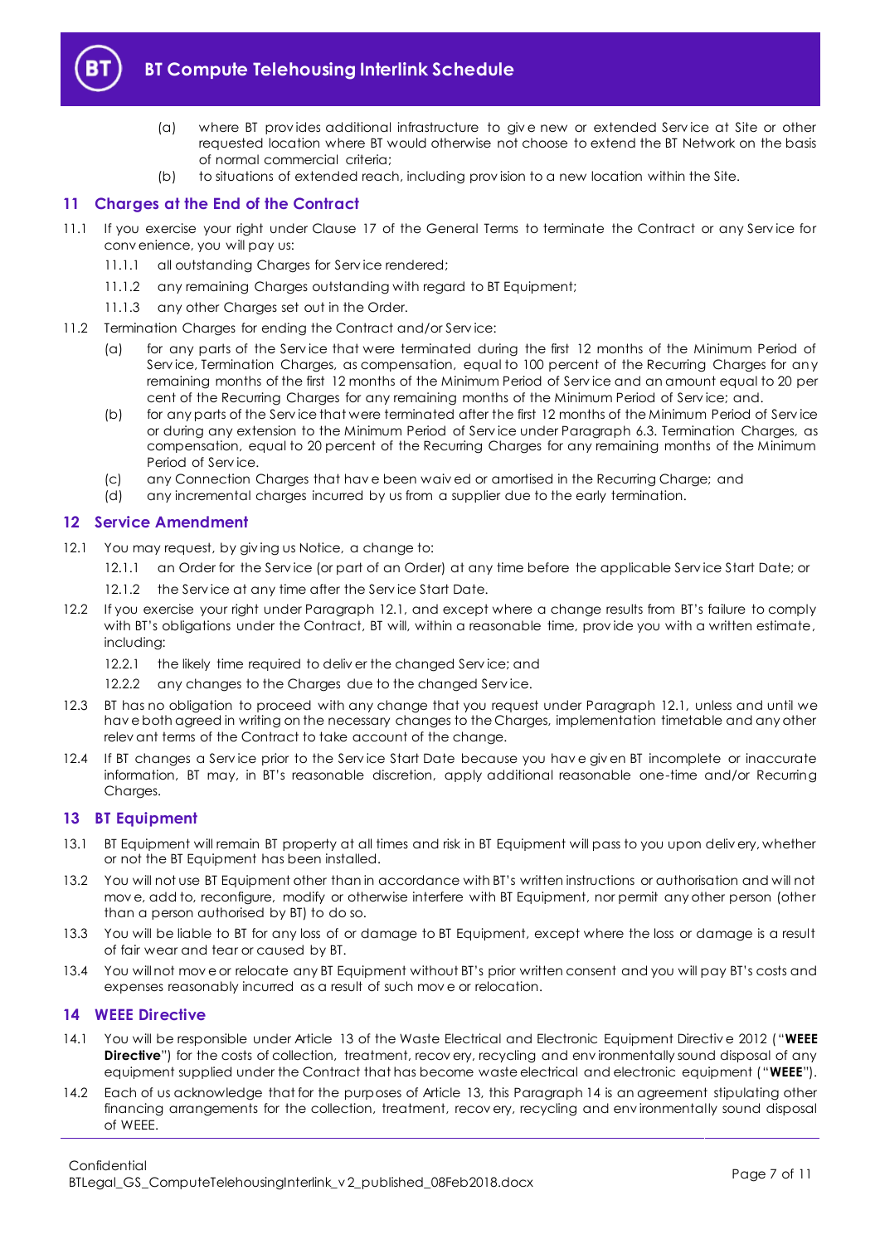

- (a) where BT prov ides additional infrastructure to giv e new or extended Serv ice at Site or other requested location where BT would otherwise not choose to extend the BT Network on the basis of normal commercial criteria;
- (b) to situations of extended reach, including prov ision to a new location within the Site.

# <span id="page-6-0"></span>**11 Charges at the End of the Contract**

- 11.1 If you exercise your right under Clause 17 of the General Terms to terminate the Contract or any Serv ice for conv enience, you will pay us:
	- 11.1.1 all outstanding Charges for Serv ice rendered;
	- 11.1.2 any remaining Charges outstanding with regard to BT Equipment;
	- 11.1.3 any other Charges set out in the Order.
- <span id="page-6-5"></span>11.2 Termination Charges for ending the Contract and/or Serv ice:
	- (a) for any parts of the Serv ice that were terminated during the first 12 months of the Minimum Period of Service, Termination Charges, as compensation, equal to 100 percent of the Recurring Charges for any remaining months of the first 12 months of the Minimum Period of Serv ice and an amount equal to 20 per cent of the Recurring Charges for any remaining months of the Minimum Period of Service; and.
	- (b) for any parts of the Serv ice that were terminated after the first 12 months of the Minimum Period of Serv ice or during any extension to the Minimum Period of Serv ice under Paragraph [6.3.](#page-2-0) Termination Charges, as compensation, equal to 20 percent of the Recurring Charges for any remaining months of the Minimum Period of Serv ice.
	- (c) any Connection Charges that hav e been waiv ed or amortised in the Recurring Charge; and
	- (d) any incremental charges incurred by us from a supplier due to the early termination.

# <span id="page-6-1"></span>**12 Service Amendment**

- <span id="page-6-4"></span>12.1 You may request, by giving us Notice, a change to:
	- 12.1.1 an Order for the Serv ice (or part of an Order) at any time before the applicable Serv ice Start Date; or
	- 12.1.2 the Service at any time after the Service Start Date.
- 12.2 If you exercise your right under Paragraph [12.1,](#page-6-4) and except where a change results from BT's failure to comply with BT's obligations under the Contract, BT will, within a reasonable time, provide you with a written estimate, including:
	- 12.2.1 the likely time required to deliver the changed Service; and
	- 12.2.2 any changes to the Charges due to the changed Service.
- 12.3 BT has no obligation to proceed with any change that you request under Paragraph [12.1,](#page-6-4) unless and until we hav e both agreed in writing on the necessary changes to the Charges, implementation timetable and any other relev ant terms of the Contract to take account of the change.
- 12.4 If BT changes a Serv ice prior to the Serv ice Start Date because you hav e giv en BT incomplete or inaccurate information, BT may, in BT's reasonable discretion, apply additional reasonable one-time and/or Recurring Charges.

# <span id="page-6-2"></span>**13 BT Equipment**

- 13.1 BT Equipment will remain BT property at all times and risk in BT Equipment will pass to you upon deliv ery, whether or not the BT Equipment has been installed.
- 13.2 You will not use BT Equipment other than in accordance with BT's written instructions or authorisation and will not mov e, add to, reconfigure, modify or otherwise interfere with BT Equipment, nor permit any other person (other than a person authorised by BT) to do so.
- 13.3 You will be liable to BT for any loss of or damage to BT Equipment, except where the loss or damage is a result of fair wear and tear or caused by BT.
- 13.4 You will not mov e or relocate any BT Equipment without BT's prior written consent and you will pay BT's costs and expenses reasonably incurred as a result of such mov e or relocation.

# <span id="page-6-3"></span>**14 WEEE Directive**

- <span id="page-6-6"></span>14.1 You will be responsible under Article 13 of the Waste Electrical and Electronic Equipment Directiv e 2012 ("**WEEE Directive**") for the costs of collection, treatment, recov ery, recycling and environmentally sound disposal of any equipment supplied under the Contract that has become waste electrical and electronic equipment ("**WEEE**").
- 14.2 Each of us acknowledge that for the purposes of Article 13, this Paragrap[h 14](#page-6-3) is an agreement stipulating other financing arrangements for the collection, treatment, recov ery, recycling and env ironmentally sound disposal of WEEE.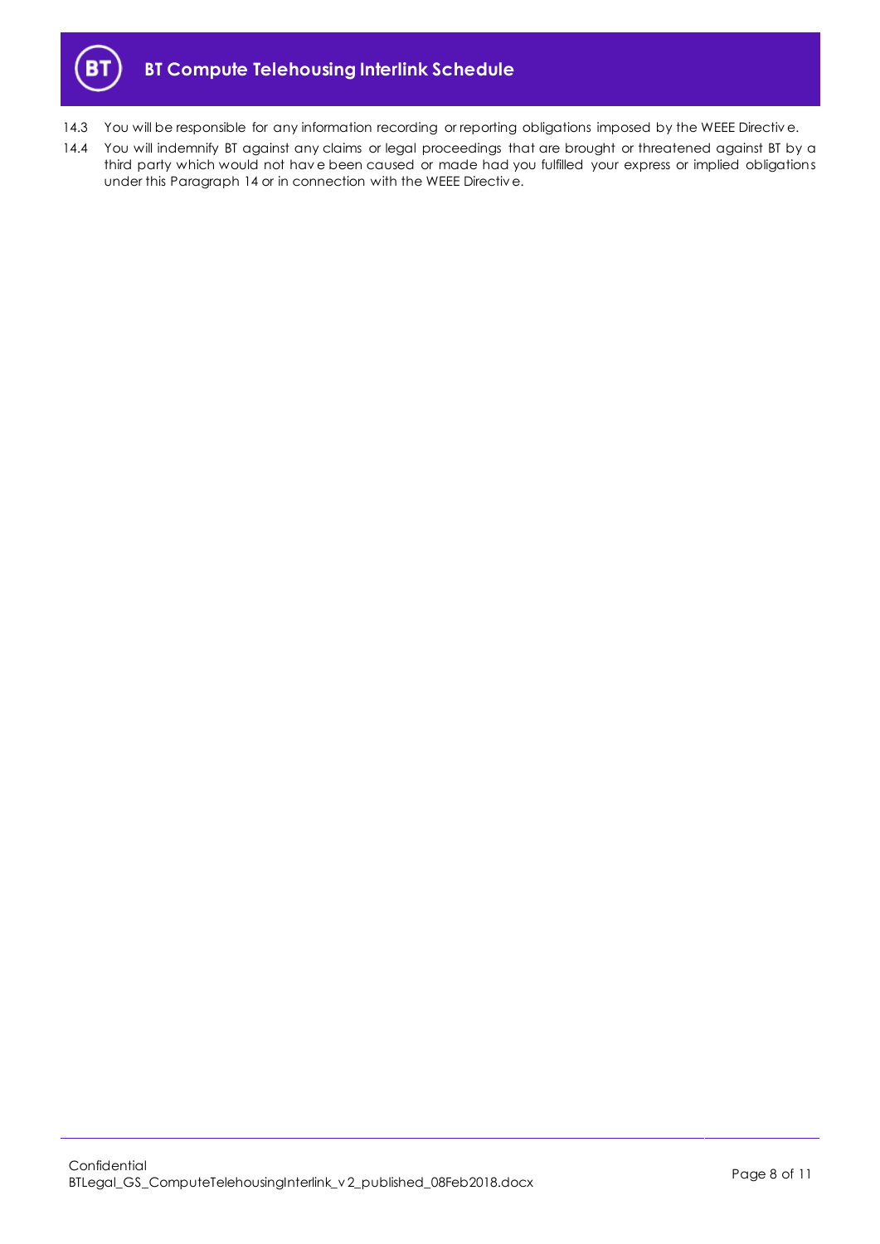

- 14.3 You will be responsible for any information recording or reporting obligations imposed by the WEEE Directive.
- 14.4 You will indemnify BT against any claims or legal proceedings that are brought or threatened against BT by a third party which would not hav e been caused or made had you fulfilled your express or implied obligations under this Paragraph [14](#page-6-3) or in connection with the WEEE Directiv e.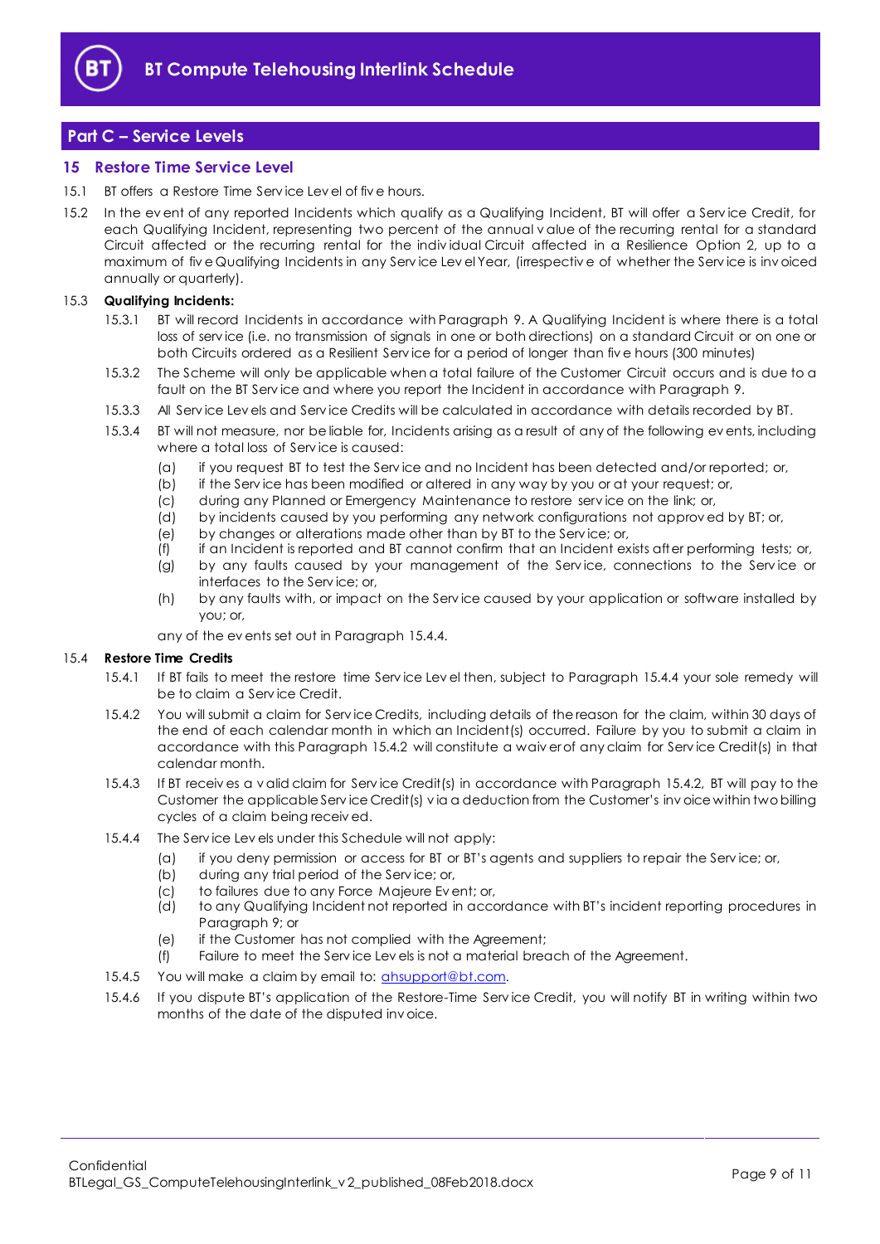

# <span id="page-8-0"></span>**Part C – Service Levels**

# <span id="page-8-1"></span>**15 Restore Time Service Level**

- 15.1 BT offers a Restore Time Serv ice Lev el of fiv e hours.
- 15.2 In the ev ent of any reported Incidents which qualify as a Qualifying Incident, BT will offer a Serv ice Credit, for each Qualifying Incident, representing two percent of the annual v alue of the recurring rental for a standard Circuit affected or the recurring rental for the indiv idual Circuit affected in a Resilience Option 2, up to a maximum of fiv e Qualifying Incidents in any Serv ice Lev el Year, (irrespectiv e of whether the Serv ice is inv oiced annually or quarterly).

#### 15.3 **Qualifying Incidents:**

- 15.3.1 BT will record Incidents in accordance with Paragraph [9.](#page-4-0) A Qualifying Incident is where there is a total loss of serv ice (i.e. no transmission of signals in one or both directions) on a standard Circuit or on one or both Circuits ordered as a Resilient Serv ice for a period of longer than fiv e hours (300 minutes)
- 15.3.2 The Scheme will only be applicable when a total failure of the Customer Circuit occurs and is due to a fault on the BT Serv ice and where you report the Incident in accordance with Paragrap[h 9.](#page-4-0)
- 15.3.3 All Serv ice Lev els and Serv ice Credits will be calculated in accordance with details recorded by BT.
- 15.3.4 BT will not measure, nor be liable for, Incidents arising as a result of any of the following ev ents, including where a total loss of Serv ice is caused:
	- (a) if you request BT to test the Serv ice and no Incident has been detected and/or reported; or,
	- (b) if the Serv ice has been modified or altered in any way by you or at your request; or,
	- (c) during any Planned or Emergency Maintenance to restore serv ice on the link; or,
	- (d) by incidents caused by you performing any network configurations not approv ed by BT; or,
	- (e) by changes or alterations made other than by BT to the Serv ice; or,
	- (f) if an Incident is reported and BT cannot confirm that an Incident exists after performing tests; or,
	- (g) by any faults caused by your management of the Serv ice, connections to the Serv ice or interfaces to the Serv ice; or,
	- (h) by any faults with, or impact on the Serv ice caused by your application or software installed by you; or,

any of the ev ents set out in Paragrap[h 15.4.4.](#page-8-2)

#### 15.4 **Restore Time Credits**

- 15.4.1 If BT fails to meet the restore time Serv ice Lev el then, subject to Paragraph [15.4.4](#page-8-2) your sole remedy will be to claim a Serv ice Credit.
- <span id="page-8-3"></span>15.4.2 You will submit a claim for Serv ice Credits, including details of the reason for the claim, within 30 days of the end of each calendar month in which an Incident(s) occurred. Failure by you to submit a claim in accordance with this Paragraph [15.4.2](#page-8-3) will constitute a waiv er of any claim for Serv ice Credit(s) in that calendar month.
- 15.4.3 If BT receiv es a v alid claim for Serv ice Credit(s) in accordance with Paragraph [15.4.2,](#page-8-3) BT will pay to the Customer the applicable Serv ice Credit(s) v ia a deduction from the Customer's inv oice within two billing cycles of a claim being receiv ed.
- <span id="page-8-2"></span>15.4.4 The Serv ice Lev els under this Schedule will not apply:
	- (a) if you deny permission or access for BT or BT's agents and suppliers to repair the Serv ice; or,
	- (b) during any trial period of the Serv ice; or,
	- (c) to failures due to any Force Majeure Ev ent; or,
	- (d) to any Qualifying Incident not reported in accordance with BT's incident reporting procedures in Paragraph [9;](#page-4-0) or
	- (e) if the Customer has not complied with the Agreement;
	- (f) Failure to meet the Serv ice Lev els is not a material breach of the Agreement.
- 15.4.5 You will make a claim by email to: [ahsupport@bt.com.](mailto:ahsupport@bt.com)
- <span id="page-8-4"></span>15.4.6 If you dispute BT's application of the Restore-Time Serv ice Credit, you will notify BT in writing within two months of the date of the disputed inv oice.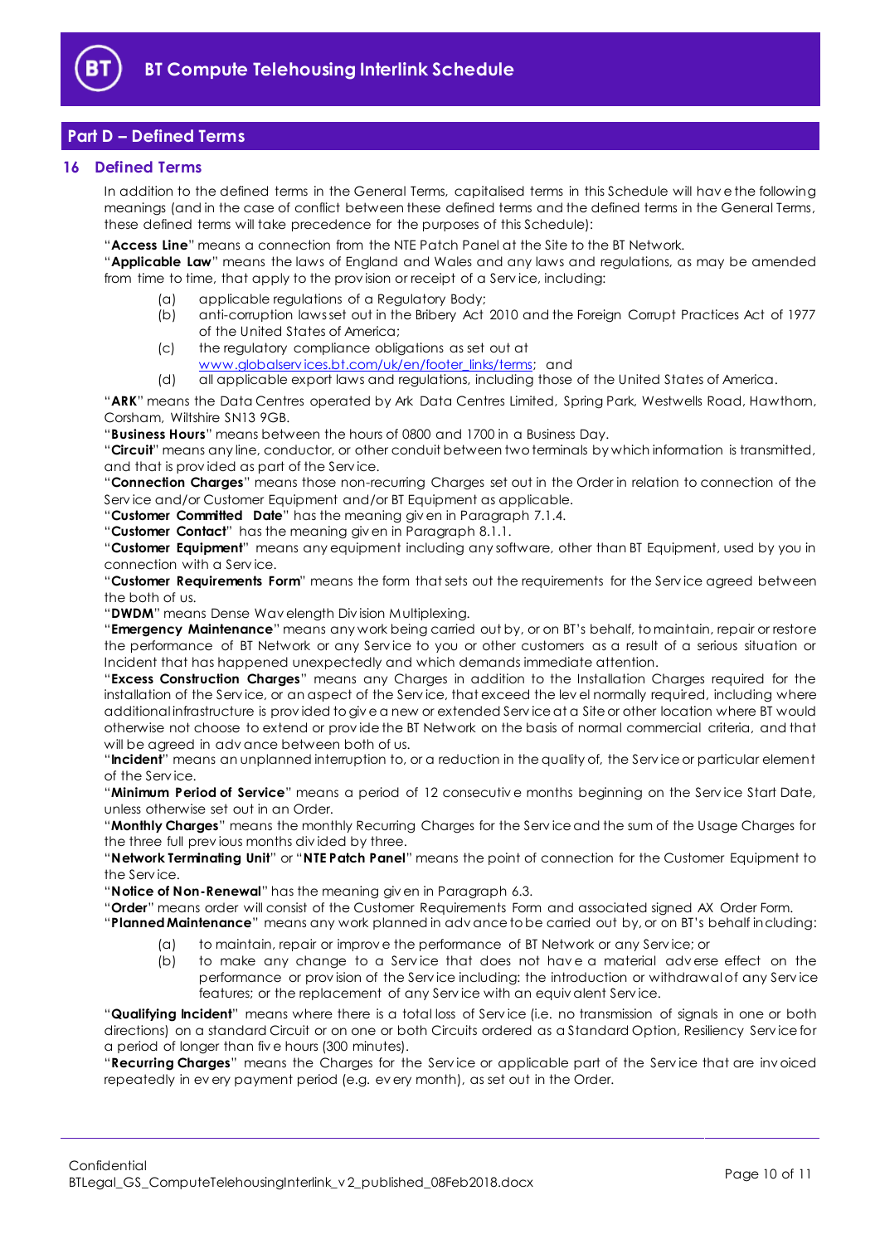

# <span id="page-9-0"></span>**Part D – Defined Terms**

# <span id="page-9-1"></span>**16 Defined Terms**

In addition to the defined terms in the General Terms, capitalised terms in this Schedule will hav e the following meanings (and in the case of conflict between these defined terms and the defined terms in the General Terms, these defined terms will take precedence for the purposes of this Schedule):

"**Access Line**" means a connection from the NTE Patch Panel at the Site to the BT Network.

"**Applicable Law**" means the laws of England and Wales and any laws and regulations, as may be amended from time to time, that apply to the prov ision or receipt of a Serv ice, including:

- (a) applicable regulations of a Regulatory Body;<br>(b) anti-corruption lawsset out in the Bribery Act
- (b) anti-corruption laws set out in the Bribery Act 2010 and the Foreign Corrupt Practices Act of 1977 of the United States of America;
- (c) the regulatory compliance obligations as set out at www.globalservices.bt.com/uk/en/footer\_links/terms; and
- (d) all applicable export laws and regulations, including those of the United States of America.

"**ARK**" means the Data Centres operated by Ark Data Centres Limited, Spring Park, Westwells Road, Hawthorn, Corsham, Wiltshire SN13 9GB.

"**Business Hours**" means between the hours of 0800 and 1700 in a Business Day.

"**Circuit**" means any line, conductor, or other conduit between two terminals by which information is transmitted, and that is prov ided as part of the Serv ice.

"**Connection Charges**" means those non-recurring Charges set out in the Order in relation to connection of the Serv ice and/or Customer Equipment and/or BT Equipment as applicable.

"**Customer Committed Date**" has the meaning giv en in Paragraph [7.1.4.](#page-3-4)

"**Customer Contact**" has the meaning giv en in Paragraph [8.1.1.](#page-3-5)

"**Customer Equipment**" means any equipment including any software, other than BT Equipment, used by you in connection with a Serv ice.

"**Customer Requirements Form**" means the form that sets out the requirements for the Serv ice agreed between the both of us.

"**DWDM**" means Dense Wav elength Div ision Multiplexing.

"**Emergency Maintenance**" means any work being carried out by, or on BT's behalf, to maintain, repair or restore the performance of BT Network or any Serv ice to you or other customers as a result of a serious situation or Incident that has happened unexpectedly and which demands immediate attention.

"**Excess Construction Charges**" means any Charges in addition to the Installation Charges required for the installation of the Serv ice, or an aspect of the Serv ice, that exceed the lev el normally required, including where additional infrastructure is prov ided to giv e a new or extended Serv ice at a Site or other location where BT would otherwise not choose to extend or prov ide the BT Network on the basis of normal commercial criteria, and that will be agreed in adv ance between both of us.

"**Incident**" means an unplanned interruption to, or a reduction in the quality of, the Serv ice or particular element of the Serv ice.

"**Minimum Period of Service**" means a period of 12 consecutiv e months beginning on the Serv ice Start Date, unless otherwise set out in an Order.

"**Monthly Charges**" means the monthly Recurring Charges for the Serv ice and the sum of the Usage Charges for the three full prev ious months div ided by three.

"**Network Terminating Unit**" or "**NTE Patch Panel**" means the point of connection for the Customer Equipment to the Serv ice.

"**Notice of Non-Renewal**" has the meaning giv en in Paragrap[h 6.3.](#page-2-0)

"**Order**" means order will consist of the Customer Requirements Form and associated signed AX Order Form.

"**Planned Maintenance**" means any work planned in adv ance to be carried out by, or on BT's behalf including:

- (a) to maintain, repair or improv e the performance of BT Network or any Serv ice; or
- (b) to make any change to a Service that does not have a material adverse effect on the performance or prov ision of the Serv ice including: the introduction or withdrawal of any Serv ice features; or the replacement of any Serv ice with an equiv alent Serv ice.

"**Qualifying Incident**" means where there is a total loss of Serv ice (i.e. no transmission of signals in one or both directions) on a standard Circuit or on one or both Circuits ordered as a Standard Option, Resiliency Serv ice for a period of longer than fiv e hours (300 minutes).

"**Recurring Charges**" means the Charges for the Serv ice or applicable part of the Serv ice that are inv oiced repeatedly in ev ery payment period (e.g. ev ery month), as set out in the Order.